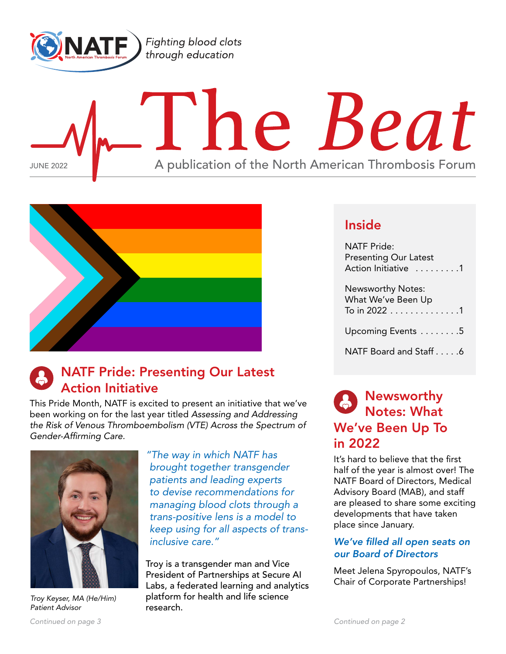<span id="page-0-0"></span>

# l'he Beat JUNE 2022 **A** publication of the North American Thrombosis Forum



# NATF Pride: Presenting Our Latest Action Initiative

This Pride Month, NATF is excited to present an initiative that we've been working on for the last year titled *Assessing and Addressing the Risk of Venous Thromboembolism (VTE) Across the Spectrum of Gender-Affirming Care.*



*Troy Keyser, MA (He/Him) Patient Advisor*

*"The way in which NATF has brought together transgender patients and leading experts to devise recommendations for managing blood clots through a trans-positive lens is a model to keep using for all aspects of transinclusive care."*

Troy is a transgender man and Vice President of Partnerships at Secure AI Labs, a federated learning and analytics platform for health and life science research.

# Inside

NATF Pride: Presenting Our Latest Action Initiative .........1

Newsworthy Notes: What We've Been Up To in 2022  $\dots \dots \dots \dots \dots 1$ Upcoming Events . . . . . . . . 5

[NATF Board and Staff. . 6](#page-5-0)

# Newsworthy Notes: What We've Been Up To in 2022

It's hard to believe that the first half of the year is almost over! The NATF Board of Directors, Medical Advisory Board (MAB), and staff are pleased to share some exciting developments that have taken place since January.

# *We've filled all open seats on our Board of Directors*

Meet Jelena Spyropoulos, NATF's Chair of Corporate Partnerships!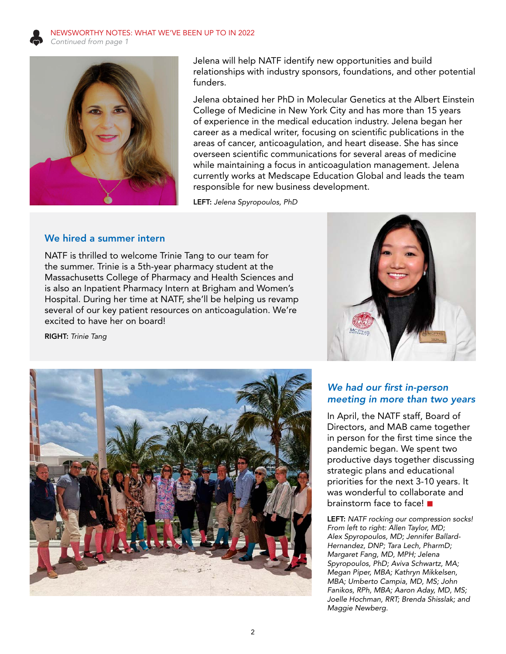<span id="page-1-0"></span>



Jelena will help NATF identify new opportunities and build relationships with industry sponsors, foundations, and other potential funders.

Jelena obtained her PhD in Molecular Genetics at the Albert Einstein College of Medicine in New York City and has more than 15 years of experience in the medical education industry. Jelena began her career as a medical writer, focusing on scientific publications in the areas of cancer, anticoagulation, and heart disease. She has since overseen scientific communications for several areas of medicine while maintaining a focus in anticoagulation management. Jelena currently works at Medscape Education Global and leads the team responsible for new business development.

LEFT: *Jelena Spyropoulos, PhD*

## We hired a summer intern

NATF is thrilled to welcome Trinie Tang to our team for the summer. Trinie is a 5th-year pharmacy student at the Massachusetts College of Pharmacy and Health Sciences and is also an Inpatient Pharmacy Intern at Brigham and Women's Hospital. During her time at NATF, she'll be helping us revamp several of our key patient resources on anticoagulation. We're excited to have her on board!

RIGHT: *Trinie Tang*





# *We had our first in-person meeting in more than two years*

In April, the NATF staff, Board of Directors, and MAB came together in person for the first time since the pandemic began. We spent two productive days together discussing strategic plans and educational priorities for the next 3-10 years. It was wonderful to collaborate and brainstorm face to face!

LEFT: *NATF rocking our compression socks! From left to right: Allen Taylor, MD; Alex Spyropoulos, MD; Jennifer Ballard-Hernandez, DNP; Tara Lech, PharmD; Margaret Fang, MD, MPH; Jelena Spyropoulos, PhD; Aviva Schwartz, MA; Megan Piper, MBA; Kathryn Mikkelsen, MBA; Umberto Campia, MD, MS; John Fanikos, RPh, MBA; Aaron Aday, MD, MS; Joelle Hochman, RRT; Brenda Shisslak; and Maggie Newberg.*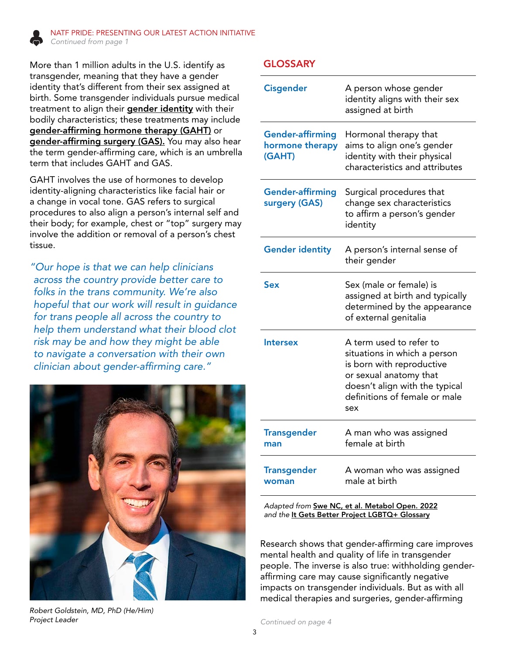<span id="page-2-1"></span><span id="page-2-0"></span>

More than 1 million adults in the U.S. identify as transgender, meaning that they have a gender identity that's different from their sex assigned at birth. Some transgender individuals pursue medical treatment to align their **gender identity** with their bodily characteristics; these treatments may include gender-affirming hormone therapy (GAHT) or gender-affirming surgery (GAS). You may also hear the term gender-affirming care, which is an umbrella term that includes GAHT and GAS.

GAHT involves the use of hormones to develop identity-aligning characteristics like facial hair or a change in vocal tone. GAS refers to surgical procedures to also align a person's internal self and their body; for example, chest or "top" surgery may involve the addition or removal of a person's chest tissue.

*"Our hope is that we can help clinicians across the country provide better care to folks in the trans community. We're also hopeful that our work will result in guidance for trans people all across the country to help them understand what their blood clot risk may be and how they might be able to navigate a conversation with their own clinician about gender-affirming care."*



*Robert Goldstein, MD, PhD (He/Him) Project Leader*

## GLOSSARY

| <b>Cisgender</b>                                     | A person whose gender<br>identity aligns with their sex<br>assigned at birth                                                                                                             |
|------------------------------------------------------|------------------------------------------------------------------------------------------------------------------------------------------------------------------------------------------|
| <b>Gender-affirming</b><br>hormone therapy<br>(GAHT) | Hormonal therapy that<br>aims to align one's gender<br>identity with their physical<br>characteristics and attributes                                                                    |
| <b>Gender-affirming</b><br>surgery (GAS)             | Surgical procedures that<br>change sex characteristics<br>to affirm a person's gender<br>identity                                                                                        |
| <b>Gender identity</b>                               | A person's internal sense of<br>their gender                                                                                                                                             |
| Sex                                                  | Sex (male or female) is<br>assigned at birth and typically<br>determined by the appearance<br>of external genitalia                                                                      |
| <b>Intersex</b>                                      | A term used to refer to<br>situations in which a person<br>is born with reproductive<br>or sexual anatomy that<br>doesn't align with the typical<br>definitions of female or male<br>sex |
| <b>Transgender</b><br>man                            | A man who was assigned<br>female at birth                                                                                                                                                |
| <b>Transgender</b><br>woman                          | A woman who was assigned<br>male at birth                                                                                                                                                |
| Adapted from Swe NC et al Metabol Open 2022          |                                                                                                                                                                                          |

*Adapted from* [Swe NC, et al. Metabol Open. 2022](https://pubmed.ncbi.nlm.nih.gov/35282421/) and the **[It Gets Better Project LGBTQ+ Glossary](https://itgetsbetter.org/glossary/)** 

Research shows that gender-affirming care improves mental health and quality of life in transgender people. The inverse is also true: withholding genderaffirming care may cause significantly negative impacts on transgender individuals. But as with all medical therapies and surgeries, gender-affirming

*[Continued on page 4](#page-3-0)*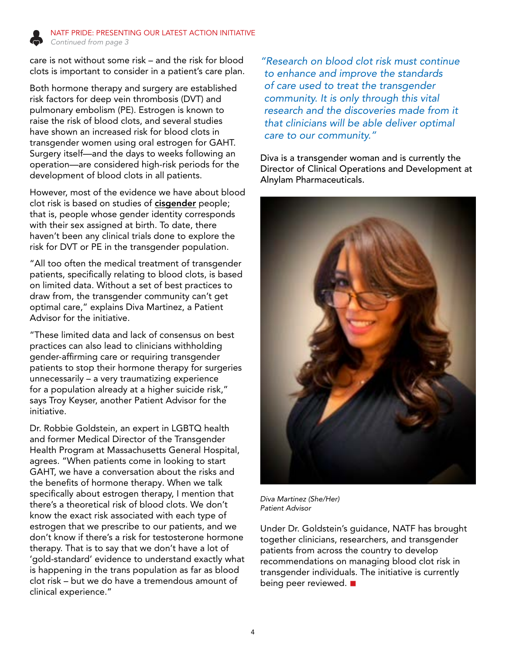<span id="page-3-0"></span>

care is not without some risk – and the risk for blood clots is important to consider in a patient's care plan.

Both hormone therapy and surgery are established risk factors for deep vein thrombosis (DVT) and pulmonary embolism (PE). Estrogen is known to raise the risk of blood clots, and several studies have shown an increased risk for blood clots in transgender women using oral estrogen for GAHT. Surgery itself—and the days to weeks following an operation—are considered high-risk periods for the development of blood clots in all patients.

However, most of the evidence we have about blood clot risk is based on studies of cisgender people; that is, people whose gender identity corresponds with their sex assigned at birth. To date, there haven't been any clinical trials done to explore the risk for DVT or PE in the transgender population.

"All too often the medical treatment of transgender patients, specifically relating to blood clots, is based on limited data. Without a set of best practices to draw from, the transgender community can't get optimal care," explains Diva Martinez, a Patient Advisor for the initiative.

"These limited data and lack of consensus on best practices can also lead to clinicians withholding gender-affirming care or requiring transgender patients to stop their hormone therapy for surgeries unnecessarily – a very traumatizing experience for a population already at a higher suicide risk," says Troy Keyser, another Patient Advisor for the initiative.

Dr. Robbie Goldstein, an expert in LGBTQ health and former Medical Director of the Transgender Health Program at Massachusetts General Hospital, agrees. "When patients come in looking to start GAHT, we have a conversation about the risks and the benefits of hormone therapy. When we talk specifically about estrogen therapy, I mention that there's a theoretical risk of blood clots. We don't know the exact risk associated with each type of estrogen that we prescribe to our patients, and we don't know if there's a risk for testosterone hormone therapy. That is to say that we don't have a lot of 'gold-standard' evidence to understand exactly what is happening in the trans population as far as blood clot risk – but we do have a tremendous amount of clinical experience."

*"Research on blood clot risk must continue to enhance and improve the standards of care used to treat the transgender community. It is only through this vital research and the discoveries made from it that clinicians will be able deliver optimal care to our community."*

Diva is a transgender woman and is currently the Director of Clinical Operations and Development at Alnylam Pharmaceuticals.



*Diva Martinez (She/Her) Patient Advisor*

Under Dr. Goldstein's guidance, NATF has brought together clinicians, researchers, and transgender patients from across the country to develop recommendations on managing blood clot risk in transgender individuals. The initiative is currently being peer reviewed.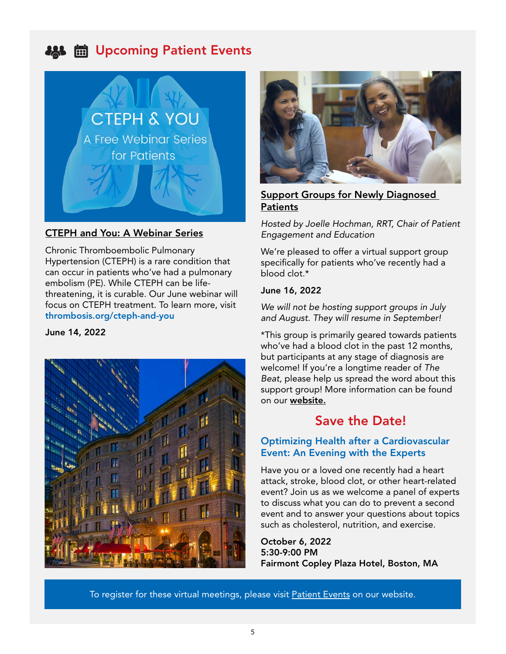# <span id="page-4-0"></span>**AS ■ Upcoming Patient Events**



# [CTEPH and You: A Webinar Series](https://thrombosis.org/patients/cteph-and-you/)

Chronic Thromboembolic Pulmonary Hypertension (CTEPH) is a rare condition that can occur in patients who've had a pulmonary embolism (PE). While CTEPH can be lifethreatening, it is curable. Our June webinar will focus on CTEPH treatment. To learn more, visit [thrombosis.org/cteph-and-you](https://thrombosis.org/patients/cteph-and-you/)

#### June 14, 2022





# [Support Groups for Newly Diagnosed](https://thrombosis.org/patients/support-group/)  **[Patients](https://thrombosis.org/patients/support-group/)**

*Hosted by Joelle Hochman, RRT, Chair of Patient Engagement and Education* 

We're pleased to offer a virtual support group specifically for patients who've recently had a blood clot.\*

#### June 16, 2022

*We will not be hosting support groups in July and August. They will resume in September!*

\*This group is primarily geared towards patients who've had a blood clot in the past 12 months, but participants at any stage of diagnosis are welcome! If you're a longtime reader of *The Beat,* please help us spread the word about this support group! More information can be found on our [website.](https://thrombosis.org/patients/support-group/)

# Save the Date!

## Optimizing Health after a Cardiovascular Event: An Evening with the Experts

Have you or a loved one recently had a heart attack, stroke, blood clot, or other heart-related event? Join us as we welcome a panel of experts to discuss what you can do to prevent a second event and to answer your questions about topics such as cholesterol, nutrition, and exercise.

October 6, 2022 5:30-9:00 PM Fairmont Copley Plaza Hotel, Boston, MA

To register for these virtual meetings, please visit [Patient Events](https://thrombosis.org/events/category/patients/) on our website.